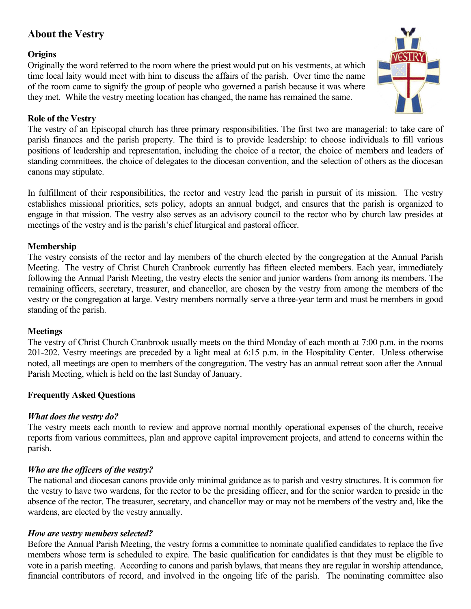# **About the Vestry**

# **Origins**

Originally the word referred to the room where the priest would put on his vestments, at which time local laity would meet with him to discuss the affairs of the parish. Over time the name of the room came to signify the group of people who governed a parish because it was where they met. While the vestry meeting location has changed, the name has remained the same.



## **Role of the Vestry**

The vestry of an Episcopal church has three primary responsibilities. The first two are managerial: to take care of parish finances and the parish property. The third is to provide leadership: to choose individuals to fill various positions of leadership and representation, including the choice of a rector, the choice of members and leaders of standing committees, the choice of delegates to the diocesan convention, and the selection of others as the diocesan canons may stipulate.

In fulfillment of their responsibilities, the rector and vestry lead the parish in pursuit of its mission. The vestry establishes missional priorities, sets policy, adopts an annual budget, and ensures that the parish is organized to engage in that mission. The vestry also serves as an advisory council to the rector who by church law presides at meetings of the vestry and is the parish's chief liturgical and pastoral officer.

## **Membership**

The vestry consists of the rector and lay members of the church elected by the congregation at the Annual Parish Meeting. The vestry of Christ Church Cranbrook currently has fifteen elected members. Each year, immediately following the Annual Parish Meeting, the vestry elects the senior and junior wardens from among its members. The remaining officers, secretary, treasurer, and chancellor, are chosen by the vestry from among the members of the vestry or the congregation at large. Vestry members normally serve a three-year term and must be members in good standing of the parish.

### **Meetings**

The vestry of Christ Church Cranbrook usually meets on the third Monday of each month at 7:00 p.m. in the rooms 201-202. Vestry meetings are preceded by a light meal at 6:15 p.m. in the Hospitality Center. Unless otherwise noted, all meetings are open to members of the congregation. The vestry has an annual retreat soon after the Annual Parish Meeting, which is held on the last Sunday of January.

# **Frequently Asked Questions**

### *What does the vestry do?*

The vestry meets each month to review and approve normal monthly operational expenses of the church, receive reports from various committees, plan and approve capital improvement projects, and attend to concerns within the parish.

# *Who are the officers of the vestry?*

The national and diocesan canons provide only minimal guidance as to parish and vestry structures. It is common for the vestry to have two wardens, for the rector to be the presiding officer, and for the senior warden to preside in the absence of the rector. The treasurer, secretary, and chancellor may or may not be members of the vestry and, like the wardens, are elected by the vestry annually.

### *How are vestry members selected?*

Before the Annual Parish Meeting, the vestry forms a committee to nominate qualified candidates to replace the five members whose term is scheduled to expire. The basic qualification for candidates is that they must be eligible to vote in a parish meeting. According to canons and parish bylaws, that means they are regular in worship attendance, financial contributors of record, and involved in the ongoing life of the parish. The nominating committee also